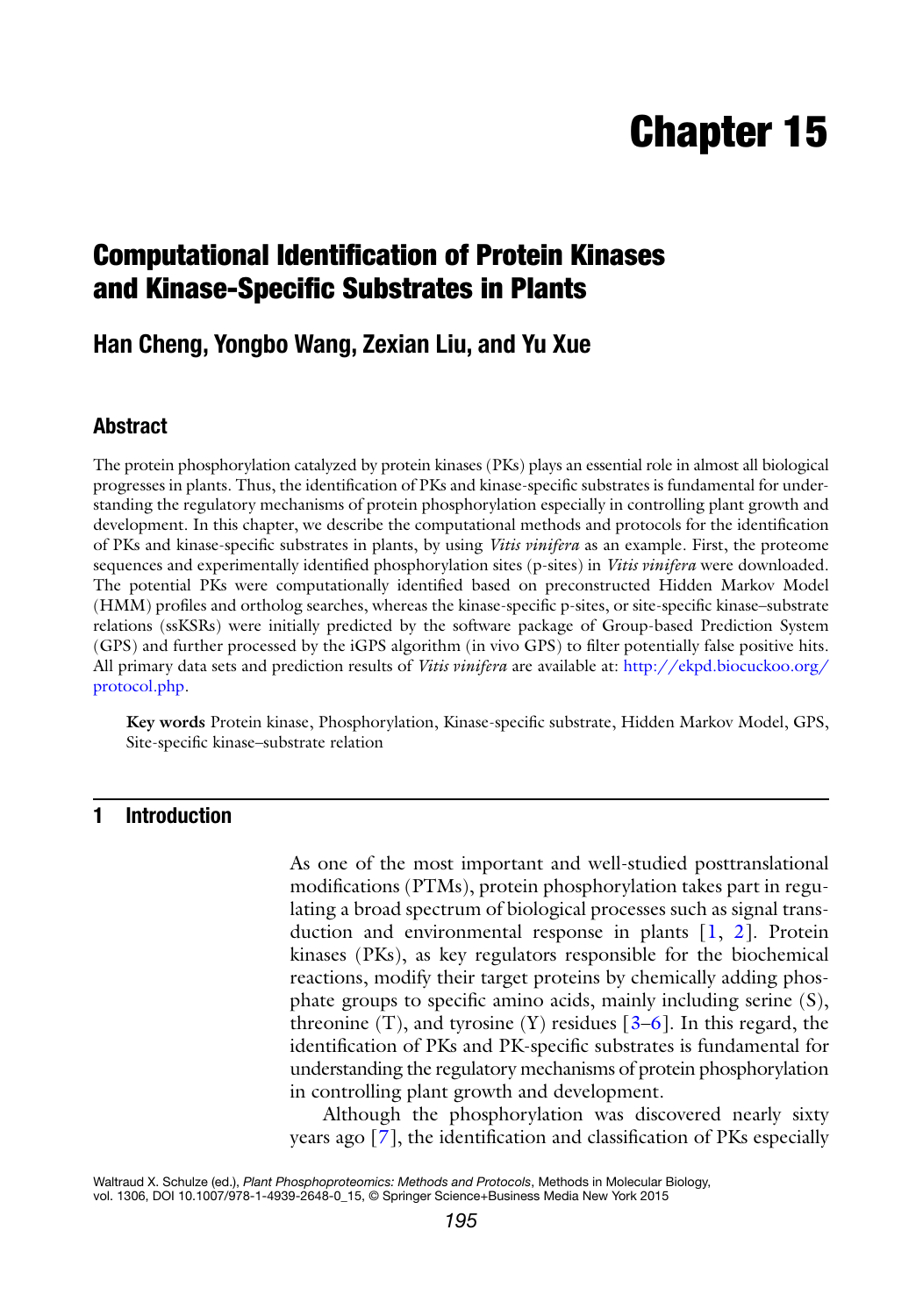# **Chapter 15**

# **Computational Identification of Protein Kinases and Kinase-Specific Substrates in Plants**

# **Han Cheng, Yongbo Wang, Zexian Liu, and Yu Xue**

## **Abstract**

The protein phosphorylation catalyzed by protein kinases (PKs) plays an essential role in almost all biological progresses in plants. Thus, the identification of PKs and kinase-specific substrates is fundamental for understanding the regulatory mechanisms of protein phosphorylation especially in controlling plant growth and development. In this chapter, we describe the computational methods and protocols for the identification of PKs and kinase-specific substrates in plants, by using *Vitis vinifera* as an example. First, the proteome sequences and experimentally identified phosphorylation sites (p-sites) in *Vitis vinifera* were downloaded. The potential PKs were computationally identified based on preconstructed Hidden Markov Model (HMM) profiles and ortholog searches, whereas the kinase-specific p-sites, or site-specific kinase–substrate relations (ssKSRs) were initially predicted by the software package of Group-based Prediction System (GPS) and further processed by the iGPS algorithm (in vivo GPS) to filter potentially false positive hits. All primary data sets and prediction results of *Vitis vinifera* are available at: [http://ekpd.biocuckoo.org/](http://ekpd.biocuckoo.org/protocol.php) protocol.php.

**Key words** Protein kinase, Phosphorylation, Kinase-specific substrate, Hidden Markov Model, GPS, Site-specific kinase–substrate relation

# **1 Introduction**

As one of the most important and well-studied posttranslational modifications (PTMs), protein phosphorylation takes part in regulating a broad spectrum of biological processes such as signal transduction and environmental response in plants  $[1, 2]$  $[1, 2]$  $[1, 2]$ . Protein kinases (PKs), as key regulators responsible for the biochemical reactions, modify their target proteins by chemically adding phosphate groups to specific amino acids, mainly including serine  $(S)$ , threonine  $(T)$ , and tyrosine  $(Y)$  residues  $[3-6]$ . In this regard, the identification of PKs and PK-specific substrates is fundamental for understanding the regulatory mechanisms of protein phosphorylation in controlling plant growth and development.

Although the phosphorylation was discovered nearly sixty years ago  $[7]$ , the identification and classification of PKs especially

Waltraud X. Schulze (ed.), *Plant Phosphoproteomics: Methods and Protocols*, Methods in Molecular Biology, vol. 1306, DOI 10.1007/978-1-4939-2648-0\_15, © Springer Science+Business Media New York 2015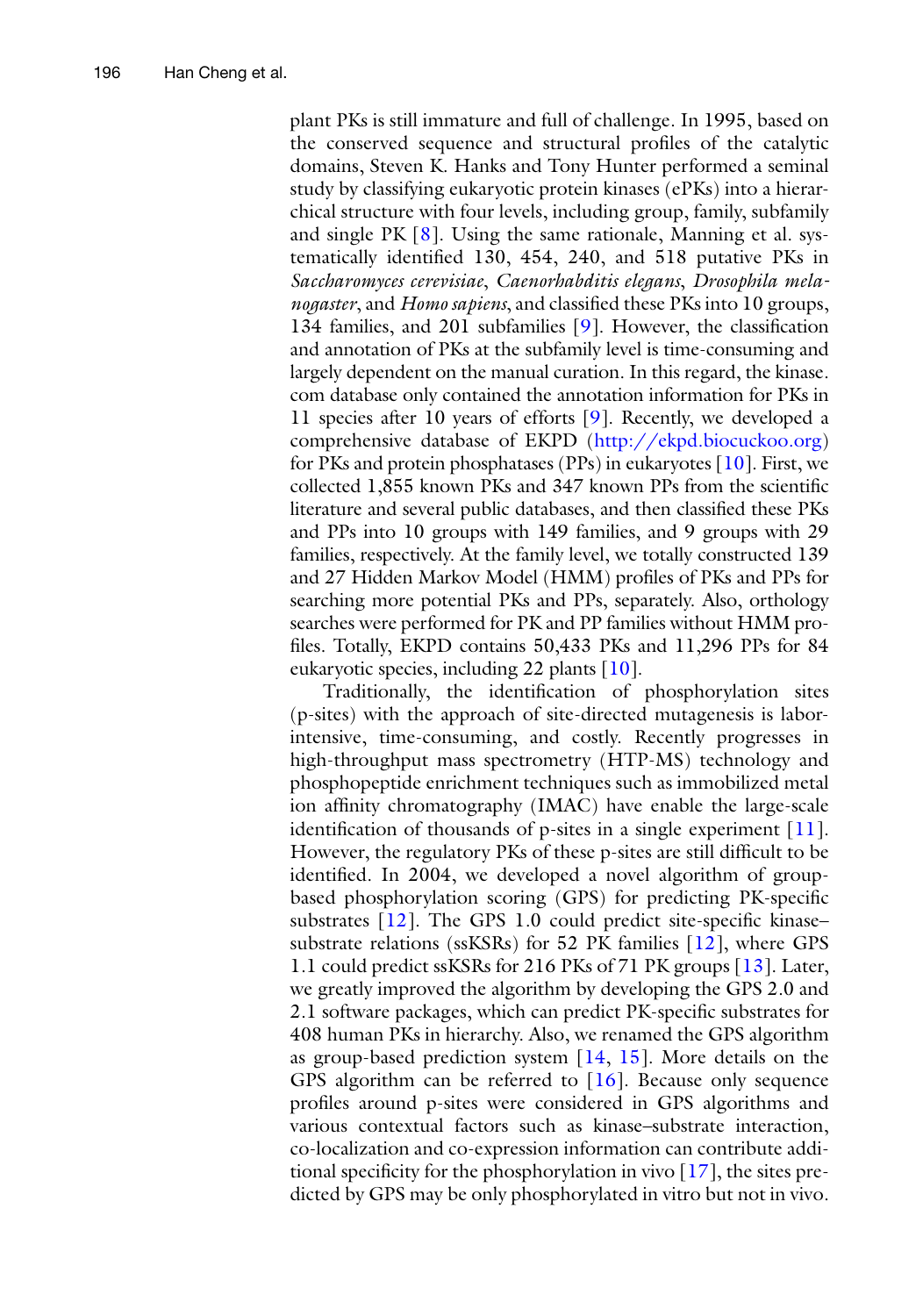plant PKs is still immature and full of challenge. In 1995, based on the conserved sequence and structural profiles of the catalytic domains, Steven K. Hanks and Tony Hunter performed a seminal study by classifying eukaryotic protein kinases (ePKs) into a hierarchical structure with four levels, including group, family, subfamily and single PK  $[8]$ . Using the same rationale, Manning et al. systematically identified 130, 454, 240, and 518 putative PKs in *Saccharomyces cerevisiae*, *Caenorhabditis elegans*, *Drosophila melanogaster*, and *Homo sapiens*, and classified these PKs into 10 groups, 134 families, and 201 subfamilies  $[9]$ . However, the classification and annotation of PKs at the subfamily level is time-consuming and largely dependent on the manual curation. In this regard, the kinase. com database only contained the annotation information for PKs in 11 species after 10 years of efforts  $[9]$ . Recently, we developed a comprehensive database of EKPD (http://ekpd.biocuckoo.org) for PKs and protein phosphatases (PPs) in eukaryotes  $[10]$ . First, we collected 1,855 known PKs and 347 known PPs from the scientific literature and several public databases, and then classified these PKs and PPs into 10 groups with 149 families, and 9 groups with 29 families, respectively. At the family level, we totally constructed 139 and 27 Hidden Markov Model (HMM) profiles of PKs and PPs for searching more potential PKs and PPs, separately. Also, orthology searches were performed for PK and PP families without HMM profiles. Totally, EKPD contains 50,433 PKs and 11,296 PPs for 84 eukaryotic species, including 22 plants [\[ 10\]](#page-9-0).

Traditionally, the identification of phosphorylation sites (p-sites) with the approach of site-directed mutagenesis is laborintensive, time-consuming, and costly. Recently progresses in high-throughput mass spectrometry (HTP-MS) technology and phosphopeptide enrichment techniques such as immobilized metal ion affinity chromatography (IMAC) have enable the large-scale identification of thousands of p-sites in a single experiment  $[11]$ . However, the regulatory PKs of these p-sites are still difficult to be identified. In 2004, we developed a novel algorithm of groupbased phosphorylation scoring (GPS) for predicting PK-specific substrates  $[12]$ . The GPS 1.0 could predict site-specific kinase– substrate relations (ssKSRs) for 52 PK families [ [12](#page-9-0)], where GPS 1.1 could predict ssKSRs for 216 PKs of 71 PK groups [\[ 13\]](#page-9-0). Later, we greatly improved the algorithm by developing the GPS 2.0 and 2.1 software packages, which can predict PK-specific substrates for 408 human PKs in hierarchy. Also, we renamed the GPS algorithm as group-based prediction system  $[14, 15]$  $[14, 15]$  $[14, 15]$ . More details on the GPS algorithm can be referred to  $[16]$ . Because only sequence profiles around p-sites were considered in GPS algorithms and various contextual factors such as kinase–substrate interaction, co- localization and co-expression information can contribute additional specificity for the phosphorylation in vivo  $[17]$ , the sites predicted by GPS may be only phosphorylated in vitro but not in vivo.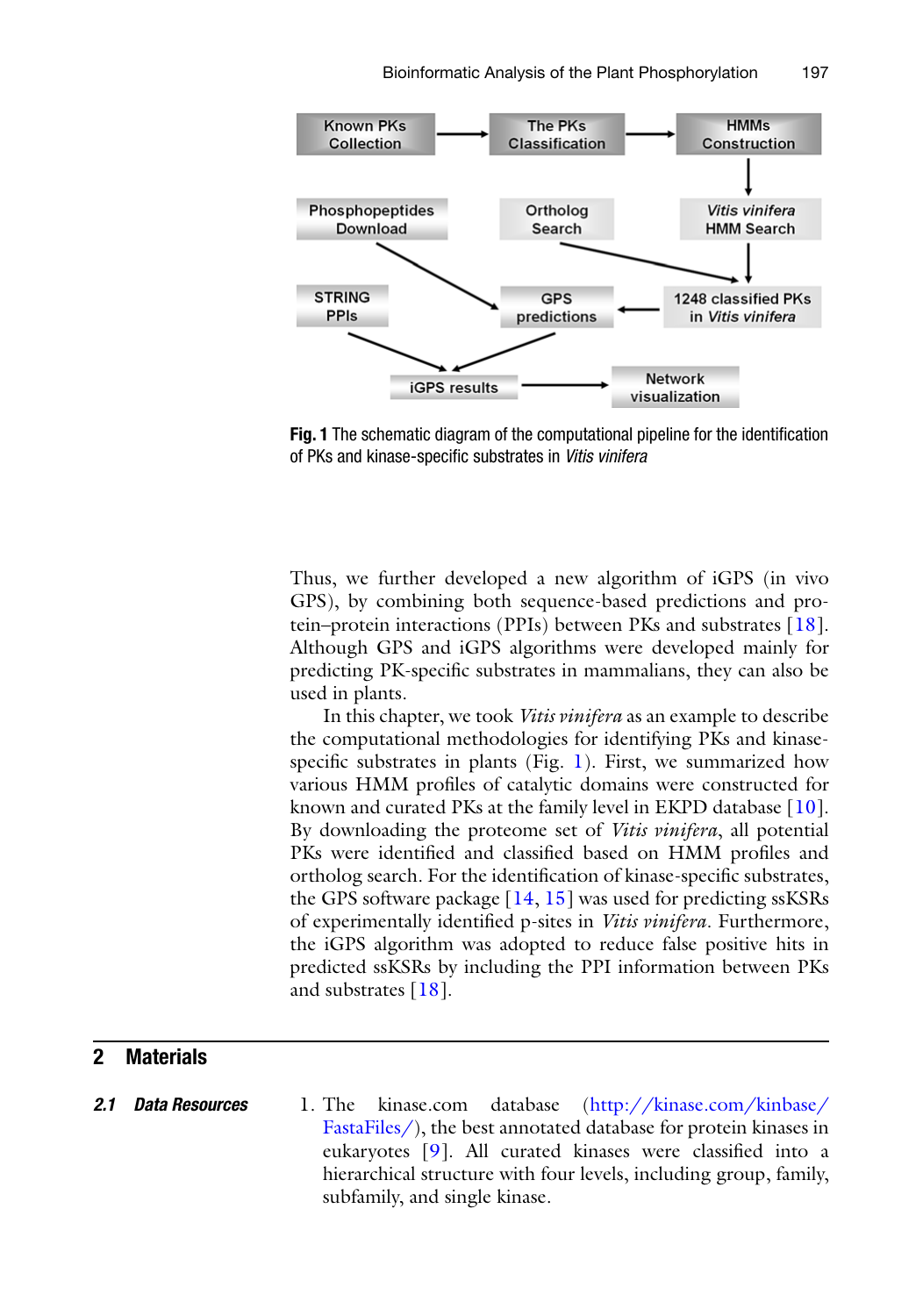

**Fig. 1** The schematic diagram of the computational pipeline for the identification of PKs and kinase-specific substrates in *Vitis vinifera* 

Thus, we further developed a new algorithm of iGPS (in vivo GPS), by combining both sequence-based predictions and protein–protein interactions (PPIs) between PKs and substrates [ [18](#page-10-0)]. Although GPS and iGPS algorithms were developed mainly for predicting PK-specific substrates in mammalians, they can also be used in plants.

In this chapter, we took *Vitis vinifera* as an example to describe the computational methodologies for identifying PKs and kinasespecific substrates in plants (Fig. 1). First, we summarized how various HMM profiles of catalytic domains were constructed for known and curated PKs at the family level in EKPD database [ [10](#page-9-0)]. By downloading the proteome set of *Vitis vinifera*, all potential PKs were identified and classified based on HMM profiles and ortholog search. For the identification of kinase-specific substrates, the GPS software package  $[14, 15]$  $[14, 15]$  was used for predicting ssKSRs of experimentally identified p-sites in *Vitis vinifera*. Furthermore, the iGPS algorithm was adopted to reduce false positive hits in predicted ssKSRs by including the PPI information between PKs and substrates [ [18](#page-10-0)].

### **2 Materials**

 1. The kinase.com database ( [http://kinase.com/kinbase/](http://kinase.com/kinbase/FastaFiles/) [FastaFiles/](http://kinase.com/kinbase/FastaFiles/)), the best annotated database for protein kinases in eukaryotes  $[9]$ . All curated kinases were classified into a hierarchical structure with four levels, including group, family, subfamily, and single kinase. *2.1 Data Resources*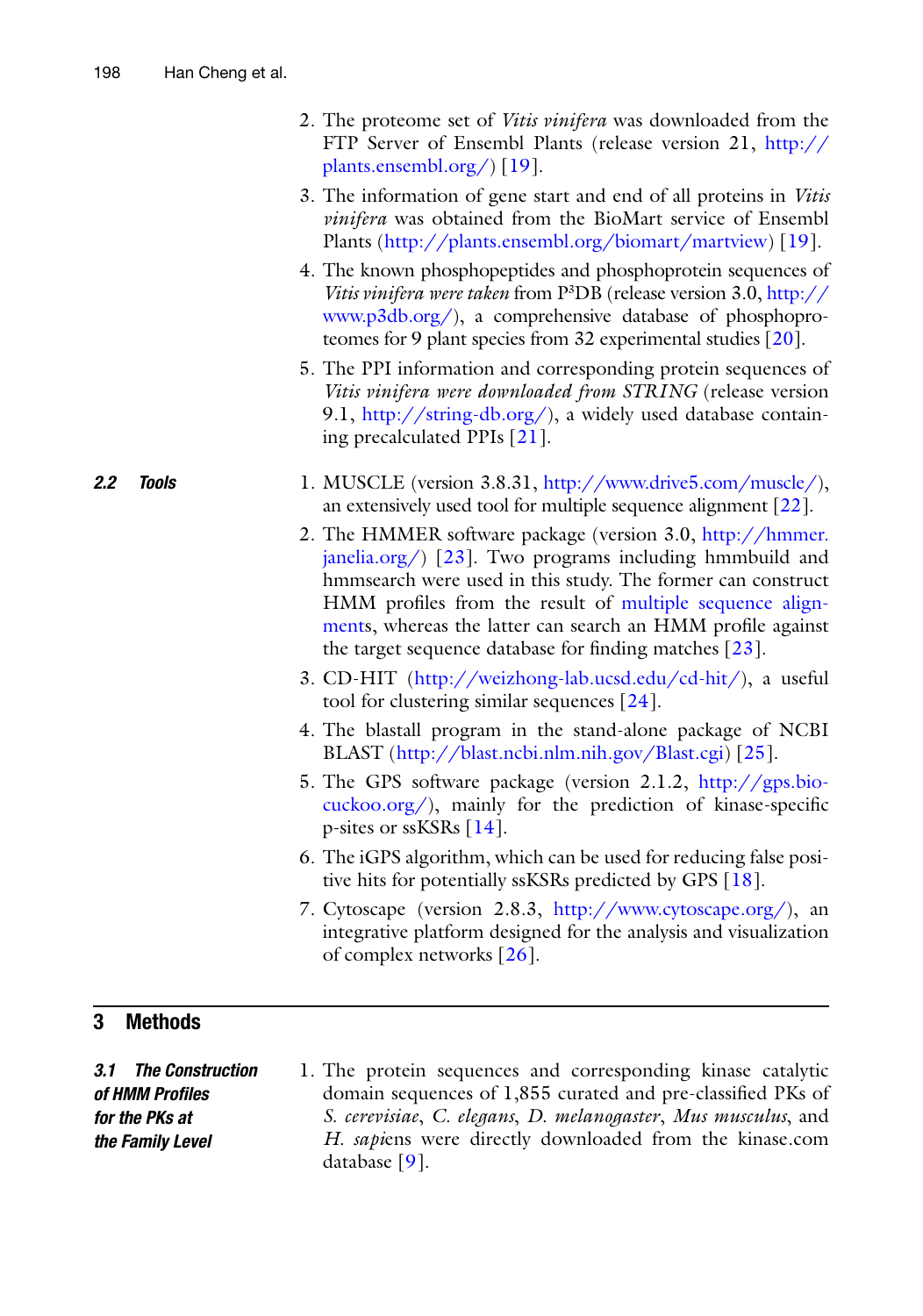- 2. The proteome set of *Vitis vinifera* was downloaded from the FTP Server of Ensembl Plants (release version 21, [http://](http://plants.ensembl.org/) [plants.ensembl.org/](http://plants.ensembl.org/) [19].
- 3. The information of gene start and end of all proteins in *Vitis vinifera* was obtained from the BioMart service of Ensembl Plants (http://plants.ensembl.org/biomart/martview) [19].
- 4. The known phosphopeptides and phosphoprotein sequences of *Vitis vinifera were taken* from P<sup>3</sup>DB (release version 3.0, [http://](http://www.p3db.org/) [www.p3db.org/](http://www.p3db.org/)), a comprehensive database of phosphoproteomes for 9 plant species from 32 experimental studies [20].
- 5. The PPI information and corresponding protein sequences of *Vitis vinifera were downloaded from STRING* (release version 9.1,  $\frac{http://string-db.org/}{, a widely used database contain-}$ ing precalculated PPIs [ [21\]](#page-10-0).

#### 1. MUSCLE (version 3.8.31, [http://www.drive5.com/muscle/ \)](http://www.drive5.com/muscle/), an extensively used tool for multiple sequence alignment [\[ 22](#page-10-0)]. *2.2 Tools*

- 2. The HMMER software package (version 3.0, [http://hmmer.](http://hmmer.janelia.org/)  $janelia.org/$  [23]. Two programs including hmmbuild and hmmsearch were used in this study. The former can construct HMM profiles from the result of [multiple sequence align](http://en.wikipedia.org/wiki/Multiple_sequence_alignment#Multiple sequence alignment)ments, whereas the latter can search an HMM profile against the target sequence database for finding matches  $[23]$ .
- 3. CD-HIT ( [http://weizhong-lab.ucsd.edu/cd-hit/ \)](http://weizhong-lab.ucsd.edu/cd-hit/), a useful tool for clustering similar sequences [\[ 24](#page-10-0)].
- 4. The blastall program in the stand-alone package of NCBI BLAST (http://blast.ncbi.nlm.nih.gov/Blast.cgi) [25].
- 5. The GPS software package (version 2.1.2, [http://gps.bio](http://gps.biocuckoo.org/) $cuckoo.org/$ ), mainly for the prediction of kinase-specific p-sites or ssKSRs [ [14\]](#page-9-0).
- 6. The iGPS algorithm, which can be used for reducing false positive hits for potentially ssKSRs predicted by GPS [\[ 18\]](#page-10-0).
- 7. Cytoscape (version 2.8.3, [http://www.cytoscape.org/ \)](http://www.cytoscape.org/), an integrative platform designed for the analysis and visualization of complex networks [ [26](#page-10-0)].

# **3 Methods**

 1. The protein sequences and corresponding kinase catalytic domain sequences of 1,855 curated and pre-classified PKs of *S. cerevisiae*, *C. elegans*, *D. melanogaster*, *Mus musculus*, and *H. sapi*ens were directly downloaded from the kinase.com database  $[9]$ . *3.1 The Construction of HMM Profi les for the PKs at the Family Level*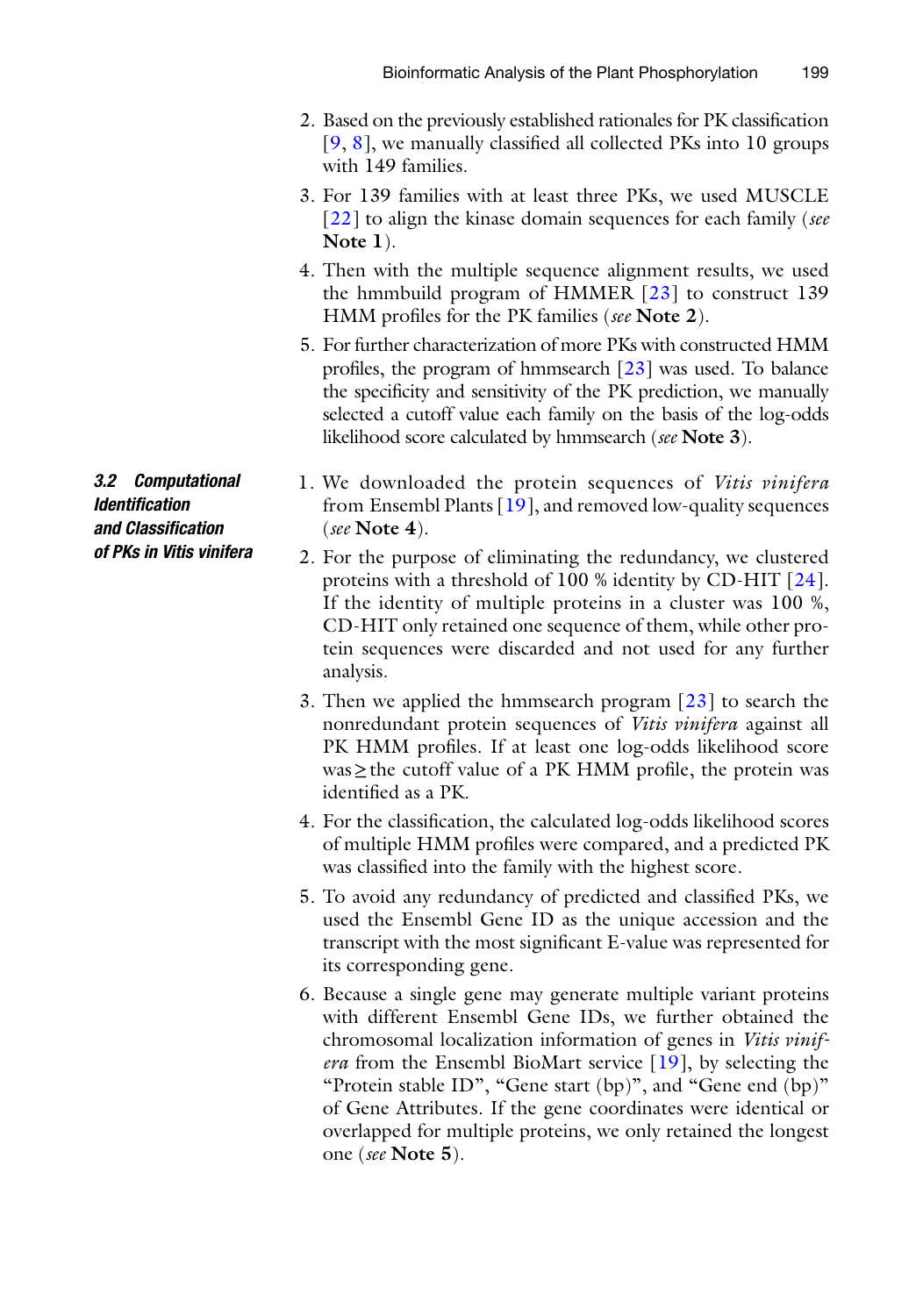- 2. Based on the previously established rationales for PK classification  $[9, 8]$  $[9, 8]$ , we manually classified all collected PKs into 10 groups with 149 families.
- 3. For 139 families with at least three PKs, we used MUSCLE [ [22](#page-10-0)] to align the kinase domain sequences for each family ( *see* **Note 1**).
- 4. Then with the multiple sequence alignment results, we used the hmmbuild program of HMMER  $[23]$  to construct 139 HMM profiles for the PK families (see Note 2).
- 5. For further characterization of more PKs with constructed HMM profiles, the program of hmmsearch  $[23]$  was used. To balance the specificity and sensitivity of the PK prediction, we manually selected a cutoff value each family on the basis of the log-odds likelihood score calculated by hmmsearch ( *see* **Note 3**).
- 1. We downloaded the protein sequences of *Vitis vinifera* from Ensembl Plants  $[19]$ , and removed low-quality sequences ( *see* **Note 4**).
	- 2. For the purpose of eliminating the redundancy, we clustered proteins with a threshold of 100 % identity by CD-HIT [24]. If the identity of multiple proteins in a cluster was 100 %, CD- HIT only retained one sequence of them, while other protein sequences were discarded and not used for any further analysis.
	- 3. Then we applied the hmmsearch program  $[23]$  to search the nonredundant protein sequences of *Vitis vinifera* against all PK HMM profiles. If at least one log-odds likelihood score  $was \geq$  the cutoff value of a PK HMM profile, the protein was identified as a PK.
	- 4. For the classification, the calculated log-odds likelihood scores of multiple HMM profiles were compared, and a predicted PK was classified into the family with the highest score.
	- 5. To avoid any redundancy of predicted and classified PKs, we used the Ensembl Gene ID as the unique accession and the transcript with the most significant E-value was represented for its corresponding gene.
	- 6. Because a single gene may generate multiple variant proteins with different Ensembl Gene IDs, we further obtained the chromosomal localization information of genes in *Vitis vinifera* from the Ensembl BioMart service [19], by selecting the "Protein stable ID", "Gene start (bp)", and "Gene end (bp)" of Gene Attributes. If the gene coordinates were identical or overlapped for multiple proteins, we only retained the longest one ( *see* **Note 5**).

*3.2 Computational Identifi cation and Classifi cation of PKs in Vitis vinifera*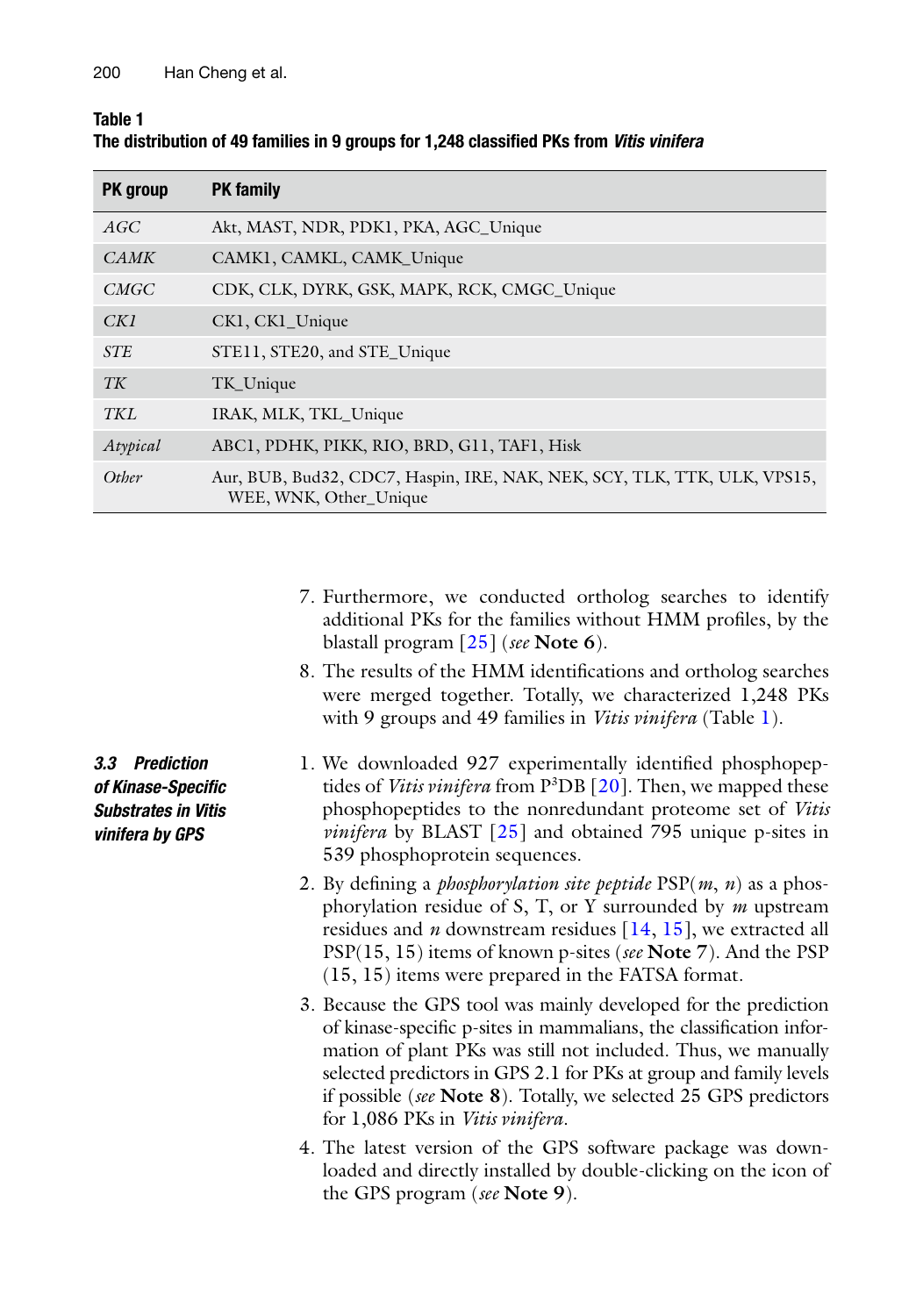| Table 1                                                                                  |  |
|------------------------------------------------------------------------------------------|--|
| The distribution of 49 families in 9 groups for 1,248 classified PKs from Vitis vinifera |  |

| PK group    | <b>PK</b> family                                                                                   |
|-------------|----------------------------------------------------------------------------------------------------|
| AGC         | Akt, MAST, NDR, PDK1, PKA, AGC_Unique                                                              |
| <b>CAMK</b> | CAMK1, CAMKL, CAMK_Unique                                                                          |
| <i>CMGC</i> | CDK, CLK, DYRK, GSK, MAPK, RCK, CMGC_Unique                                                        |
| CKI         | CK1, CK1_Unique                                                                                    |
| <b>STE</b>  | STE11, STE20, and STE_Unique                                                                       |
| TK          | TK_Unique                                                                                          |
| <b>TKL</b>  | IRAK, MLK, TKL Unique                                                                              |
| Atypical    | ABC1, PDHK, PIKK, RIO, BRD, G11, TAF1, Hisk                                                        |
| Other       | Aur, BUB, Bud32, CDC7, Haspin, IRE, NAK, NEK, SCY, TLK, TTK, ULK, VPS15,<br>WEE, WNK, Other_Unique |

- 7. Furthermore, we conducted ortholog searches to identify additional PKs for the families without HMM profiles, by the blastall program [ [25](#page-10-0)] ( *see* **Note 6**).
- 8. The results of the HMM identifications and ortholog searches were merged together. Totally, we characterized 1,248 PKs with 9 groups and 49 families in *Vitis vinifera* (Table 1).
- 1. We downloaded 927 experimentally identified phosphopeptides of *Vitis vinifera* from P<sup>3</sup>DB [20]. Then, we mapped these phosphopeptides to the nonredundant proteome set of *Vitis vinifera* by BLAST [25] and obtained 795 unique p-sites in 539 phosphoprotein sequences.
- 2. By defining a *phosphorylation site peptide*  $PSP(m, n)$  as a phosphorylation residue of S, T, or Y surrounded by *m* upstream residues and *n* downstream residues [\[ 14](#page-9-0), [15\]](#page-9-0), we extracted all PSP(15, 15) items of known p-sites ( *see* **Note 7**). And the PSP (15, 15) items were prepared in the FATSA format.
- 3. Because the GPS tool was mainly developed for the prediction of kinase-specific p-sites in mammalians, the classification information of plant PKs was still not included. Thus, we manually selected predictors in GPS 2.1 for PKs at group and family levels if possible ( *see* **Note 8**). Totally, we selected 25 GPS predictors for 1,086 PKs in *Vitis vinifera*.
- 4. The latest version of the GPS software package was downloaded and directly installed by double-clicking on the icon of the GPS program ( *see* **Note 9**).

*3.3 Prediction of Kinase- Specifi c Substrates in Vitis vinifera by GPS*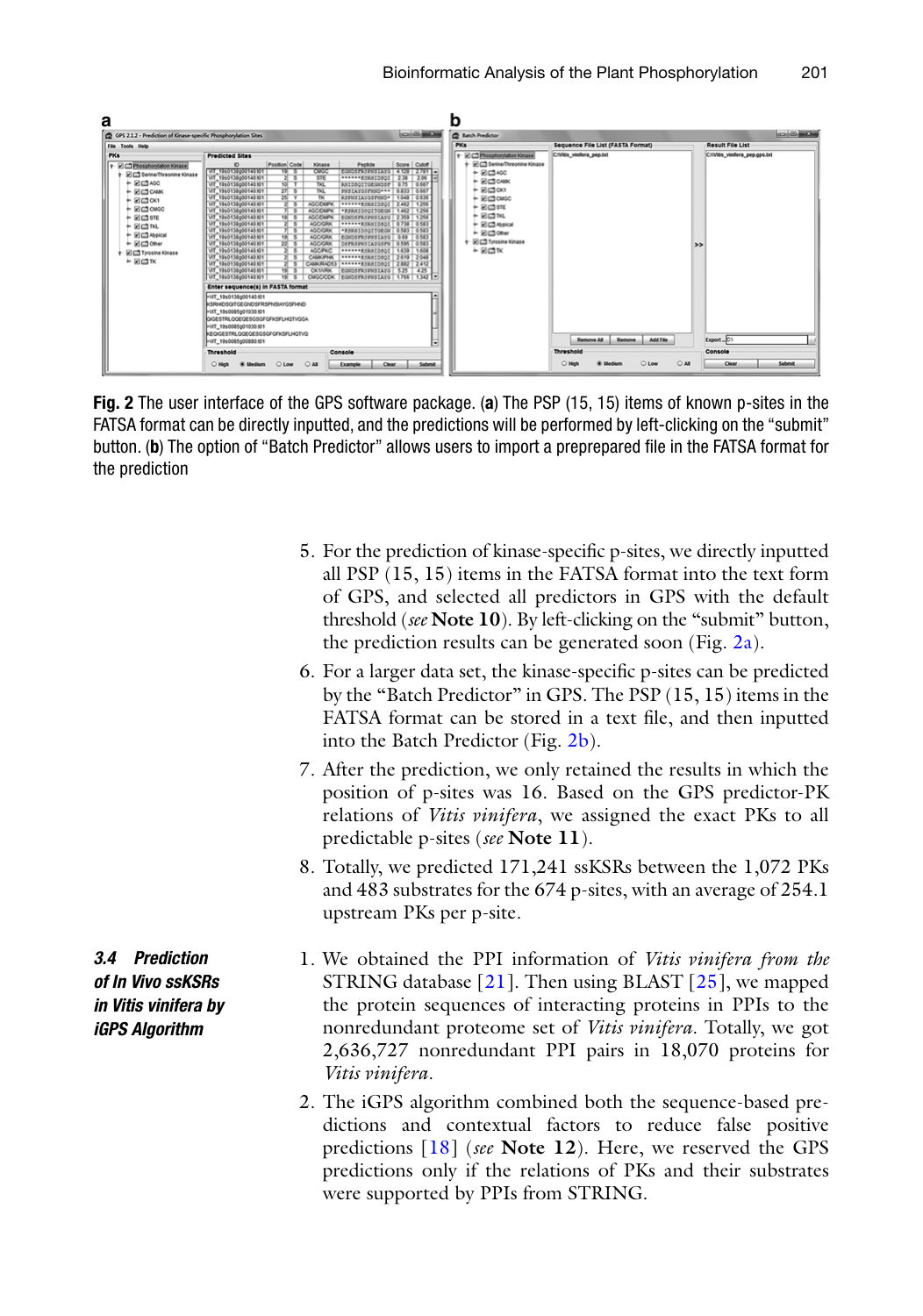

 **Fig. 2** The user interface of the GPS software package. ( **a** ) The PSP (15, 15) items of known p-sites in the FATSA format can be directly inputted, and the predictions will be performed by left-clicking on the "submit" button. (b) The option of "Batch Predictor" allows users to import a preprepared file in the FATSA format for the prediction

- 5. For the prediction of kinase-specific p-sites, we directly inputted all PSP (15, 15) items in the FATSA format into the text form of GPS, and selected all predictors in GPS with the default threshold ( *see* **Note 10**). By left-clicking on the "submit" button, the prediction results can be generated soon (Fig. 2a).
- 6. For a larger data set, the kinase-specific p-sites can be predicted by the "Batch Predictor" in GPS. The PSP (15, 15) items in the FATSA format can be stored in a text file, and then inputted into the Batch Predictor (Fig. 2b).
- 7. After the prediction, we only retained the results in which the position of p-sites was 16. Based on the GPS predictor-PK relations of *Vitis vinifera*, we assigned the exact PKs to all predictable p-sites ( *see* **Note 11**).
- 8. Totally, we predicted 171,241 ssKSRs between the 1,072 PKs and 483 substrates for the 674 p-sites, with an average of 254.1 upstream PKs per p-site.
- *3.4 Prediction of In Vivo ssKSRs in Vitis vinifera by iGPS Algorithm*
- 1. We obtained the PPI information of *Vitis vinifera from the* STRING database  $[21]$ . Then using BLAST  $[25]$ , we mapped the protein sequences of interacting proteins in PPIs to the nonredundant proteome set of *Vitis vinifera*. Totally, we got 2,636,727 nonredundant PPI pairs in 18,070 proteins for *Vitis vinifera*.
- 2. The iGPS algorithm combined both the sequence-based predictions and contextual factors to reduce false positive predictions [ [18](#page-10-0)] ( *see* **Note 12**). Here, we reserved the GPS predictions only if the relations of PKs and their substrates were supported by PPIs from STRING.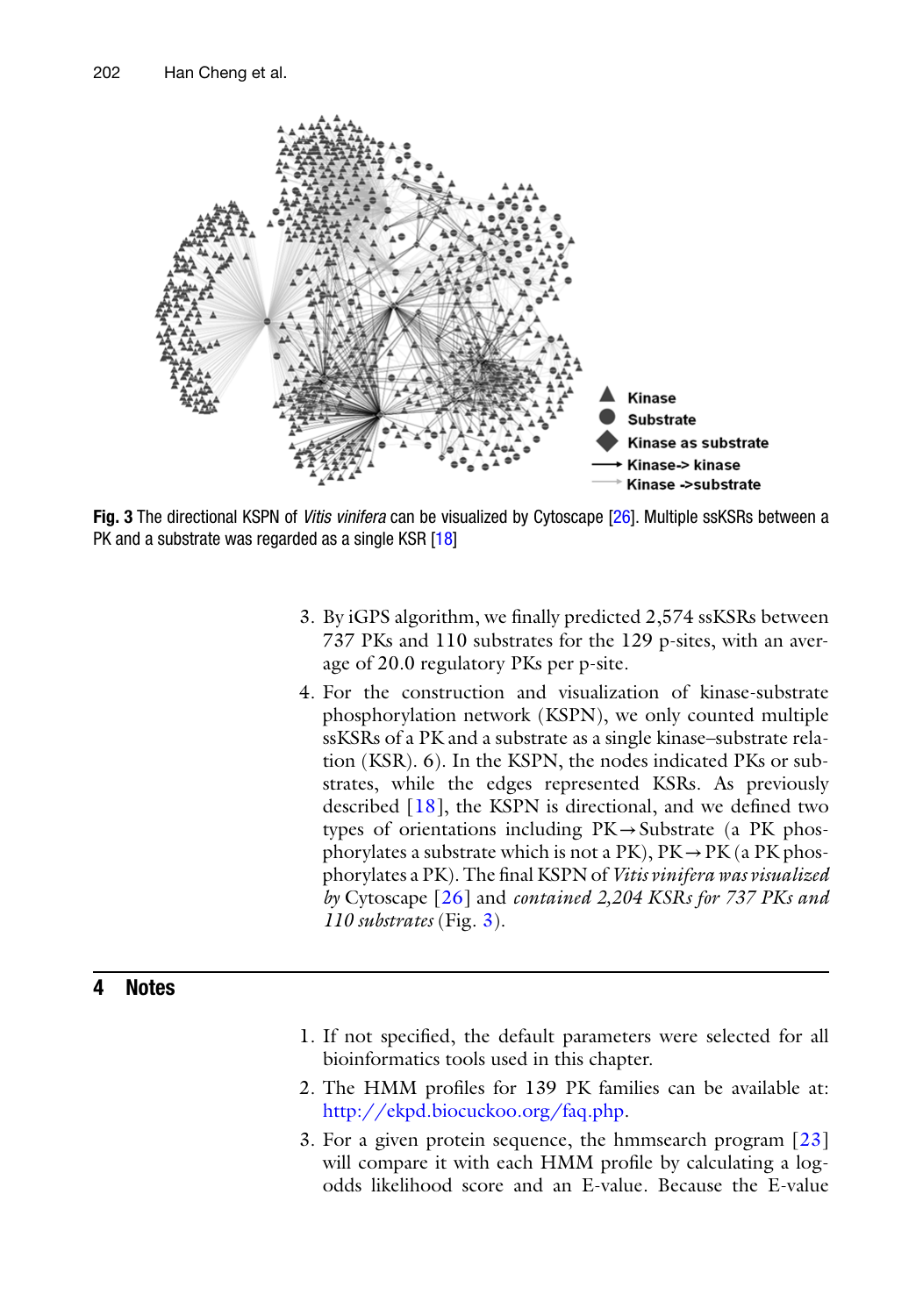

**Fig. 3** The directional KSPN of *Vitis vinifera* can be visualized by Cytoscape [26]. Multiple ssKSRs between a PK and a substrate was regarded as a single KSR [18]

- 3. By iGPS algorithm, we finally predicted 2,574 ssKSRs between 737 PKs and 110 substrates for the 129 p-sites, with an average of 20.0 regulatory PKs per p-site.
- 4. For the construction and visualization of kinase-substrate phosphorylation network (KSPN), we only counted multiple ssKSRs of a PK and a substrate as a single kinase–substrate relation (KSR). 6). In the KSPN, the nodes indicated PKs or substrates, while the edges represented KSRs. As previously described  $[18]$ , the KSPN is directional, and we defined two types of orientations including  $PK \rightarrow Substrate$  (a PK phosphorylates a substrate which is not a  $PK$ ),  $PK \rightarrow PK$  (a  $PK$  phosphorylates a PK). The final KSPN of *Vitis vinifera was visualized by* Cytoscape [ [26](#page-10-0)] and *contained 2,204 KSRs for 737 PKs and 110 substrates* (Fig. 3).

# **4 Notes**

- 1. If not specified, the default parameters were selected for all bioinformatics tools used in this chapter.
- 2. The HMM profiles for 139 PK families can be available at: [http://ekpd.biocuckoo.org/faq.php .](http://ekpd.biocuckoo.org/faq.php)
- 3. For a given protein sequence, the hmmsearch program  $[23]$ will compare it with each HMM profile by calculating a logodds likelihood score and an E-value. Because the E-value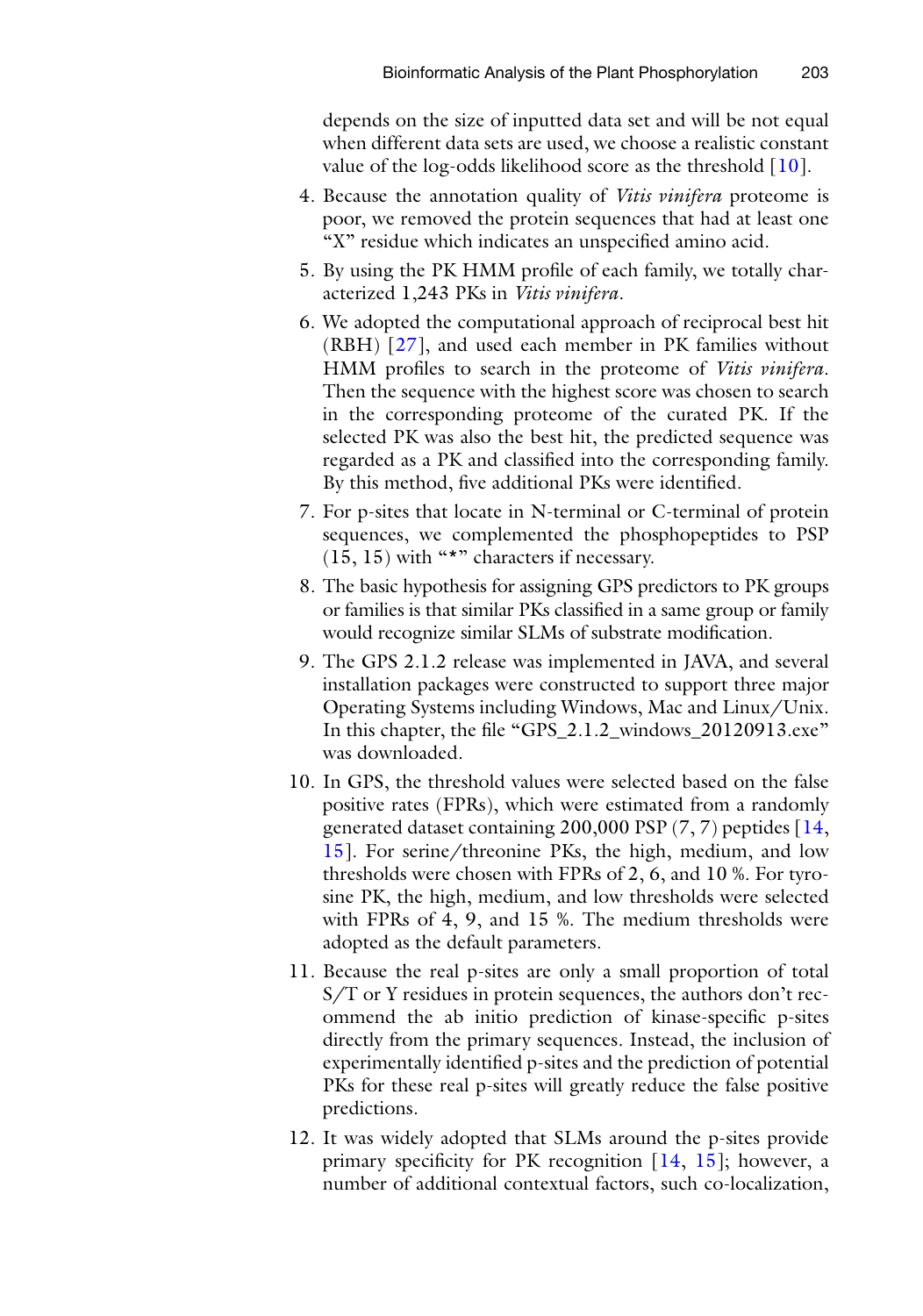depends on the size of inputted data set and will be not equal when different data sets are used, we choose a realistic constant value of the log-odds likelihood score as the threshold  $[10]$ .

- 4. Because the annotation quality of *Vitis vinifera* proteome is poor, we removed the protein sequences that had at least one "X" residue which indicates an unspecified amino acid.
- 5. By using the PK HMM profile of each family, we totally characterized 1,243 PKs in *Vitis vinifera*.
- 6. We adopted the computational approach of reciprocal best hit  $(RBH)$  [27], and used each member in PK families without HMM profiles to search in the proteome of *Vitis vinifera*. Then the sequence with the highest score was chosen to search in the corresponding proteome of the curated PK. If the selected PK was also the best hit, the predicted sequence was regarded as a PK and classified into the corresponding family. By this method, five additional PKs were identified.
- 7. For p-sites that locate in N-terminal or C-terminal of protein sequences, we complemented the phosphopeptides to PSP (15, 15) with "\*" characters if necessary.
- 8. The basic hypothesis for assigning GPS predictors to PK groups or families is that similar PKs classified in a same group or family would recognize similar SLMs of substrate modification.
- 9. The GPS 2.1.2 release was implemented in JAVA, and several installation packages were constructed to support three major Operating Systems including Windows, Mac and Linux/Unix. In this chapter, the file "GPS\_2.1.2\_windows\_20120913.exe" was downloaded.
- 10. In GPS, the threshold values were selected based on the false positive rates (FPRs), which were estimated from a randomly generated dataset containing 200,000 PSP  $(7, 7)$  peptides  $[14, 16]$ [15](#page-9-0)]. For serine/threonine PKs, the high, medium, and low thresholds were chosen with FPRs of 2, 6, and 10 %. For tyrosine PK, the high, medium, and low thresholds were selected with FPRs of 4, 9, and 15 %. The medium thresholds were adopted as the default parameters.
- 11. Because the real p-sites are only a small proportion of total S/T or Y residues in protein sequences, the authors don't recommend the ab initio prediction of kinase-specific p-sites directly from the primary sequences. Instead, the inclusion of experimentally identified p-sites and the prediction of potential PKs for these real p-sites will greatly reduce the false positive predictions.
- 12. It was widely adopted that SLMs around the p-sites provide primary specificity for PK recognition  $[14, 15]$  $[14, 15]$ ; however, a number of additional contextual factors, such co-localization,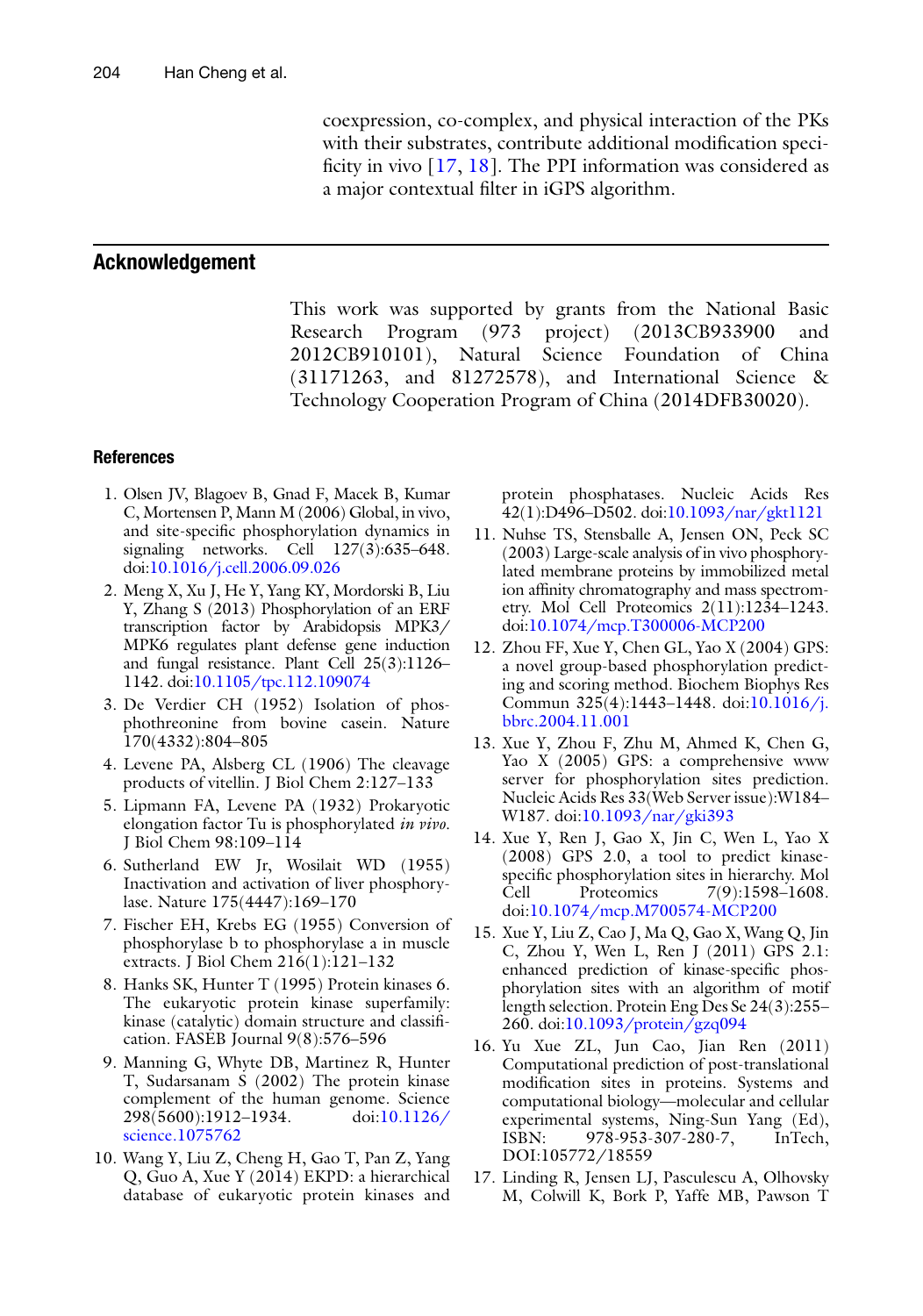coexpression, co-complex, and physical interaction of the PKs with their substrates, contribute additional modification specificity in vivo  $[17, 18]$  $[17, 18]$ . The PPI information was considered as a major contextual filter in iGPS algorithm.

#### <span id="page-9-0"></span> **Acknowledgement**

This work was supported by grants from the National Basic Research Program (973 project) (2013CB933900 and 2012CB910101), Natural Science Foundation of China (31171263, and 81272578), and International Science & Technology Cooperation Program of China (2014DFB30020).

#### **References**

- 1. Olsen JV, Blagoev B, Gnad F, Macek B, Kumar C, Mortensen P, Mann M (2006) Global, in vivo, and site-specific phosphorylation dynamics in signaling networks. Cell 127(3):635–648. doi: [10.1016/j.cell.2006.09.026](http://dx.doi.org/10.1016/j.cell.2006.09.026)
- 2. Meng X, Xu J, He Y, Yang KY, Mordorski B, Liu Y, Zhang S (2013) Phosphorylation of an ERF transcription factor by Arabidopsis MPK3/ MPK6 regulates plant defense gene induction and fungal resistance. Plant Cell 25(3):1126– 1142. doi[: 10.1105/tpc.112.109074](http://dx.doi.org/10.1105/tpc.112.109074)
- 3. De Verdier CH (1952) Isolation of phosphothreonine from bovine casein. Nature 170(4332):804–805
- 4. Levene PA, Alsberg CL (1906) The cleavage products of vitellin. J Biol Chem 2:127–133
- 5. Lipmann FA, Levene PA (1932) Prokaryotic elongation factor Tu is phosphorylated *in vivo*. J Biol Chem 98:109–114
- 6. Sutherland EW Jr, Wosilait WD (1955) Inactivation and activation of liver phosphorylase. Nature 175(4447):169–170
- 7. Fischer EH, Krebs EG (1955) Conversion of phosphorylase b to phosphorylase a in muscle extracts. J Biol Chem 216(1):121–132
- 8. Hanks SK, Hunter T (1995) Protein kinases 6. The eukaryotic protein kinase superfamily: kinase (catalytic) domain structure and classification. FASEB Journal 9(8):576–596
- 9. Manning G, Whyte DB, Martinez R, Hunter T, Sudarsanam S (2002) The protein kinase complement of the human genome. Science 298(5600):1912–1934. doi: [10.1126/](http://dx.doi.org/10.1126/science.1075762) [science.1075762](http://dx.doi.org/10.1126/science.1075762)
- 10. Wang Y, Liu Z, Cheng H, Gao T, Pan Z, Yang Q, Guo A, Xue Y (2014) EKPD: a hierarchical database of eukaryotic protein kinases and

protein phosphatases. Nucleic Acids Res 42(1):D496–D502. doi[: 10.1093/nar/gkt1121](http://dx.doi.org/10.1093/nar/gkt1121) 

- 11. Nuhse TS, Stensballe A, Jensen ON, Peck SC (2003) Large-scale analysis of in vivo phosphorylated membrane proteins by immobilized metal ion affinity chromatography and mass spectrometry. Mol Cell Proteomics 2(11):1234–1243. doi[: 10.1074/mcp.T300006-MCP200](http://dx.doi.org/10.1074/mcp.T300006-MCP200)
- 12. Zhou FF, Xue Y, Chen GL, Yao X (2004) GPS: a novel group-based phosphorylation predicting and scoring method. Biochem Biophys Res Commun 325(4):1443-1448. doi:10.1016/j. [bbrc.2004.11.001](http://dx.doi.org/10.1016/j.bbrc.2004.11.001)
- 13. Xue Y, Zhou F, Zhu M, Ahmed K, Chen G, Yao X (2005) GPS: a comprehensive www server for phosphorylation sites prediction. Nucleic Acids Res 33(Web Server issue):W184– W187. doi[: 10.1093/nar/gki393](http://dx.doi.org/10.1093/nar/gki393)
- 14. Xue Y, Ren J, Gao X, Jin C, Wen L, Yao X (2008) GPS 2.0, a tool to predict kinasespecific phosphorylation sites in hierarchy. Mol Cell Proteomics 7(9):1598–1608. doi: [10.1074/mcp.M700574-MCP200](http://dx.doi.org/10.1074/mcp.M700574-MCP200)
- 15. Xue Y, Liu Z, Cao J, Ma Q, Gao X, Wang Q, Jin C, Zhou Y, Wen L, Ren J (2011) GPS 2.1: enhanced prediction of kinase-specific phosphorylation sites with an algorithm of motif length selection. Protein Eng Des Se 24(3):255– 260. doi[: 10.1093/protein/gzq094](http://dx.doi.org/10.1093/protein/gzq094)
- 16. Yu Xue ZL, Jun Cao, Jian Ren (2011) Computational prediction of post-translational modification sites in proteins. Systems and computational biology—molecular and cellular experimental systems, Ning-Sun Yang (Ed), ISBN: 978-953-307-280-7, InTech, DOI:105772/18559
- 17. Linding R, Jensen LJ, Pasculescu A, Olhovsky M, Colwill K, Bork P, Yaffe MB, Pawson T